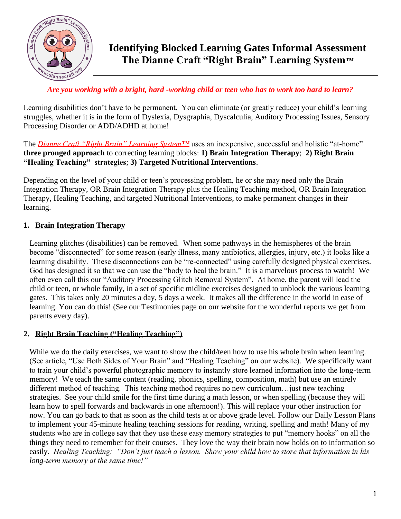

## *Are you working with a bright, hard -working child or teen who has to work too hard to learn?*

Learning disabilities don't have to be permanent. You can eliminate (or greatly reduce) your child's learning struggles, whether it is in the form of Dyslexia, Dysgraphia, Dyscalculia, Auditory Processing Issues, Sensory Processing Disorder or ADD/ADHD at home!

The *Dianne Craft "Right Brain" Learning System™* uses an inexpensive, successful and holistic "at-home" **three pronged approach** to correcting learning blocks: **1) Brain Integration Therapy**; **2) Right Brain "Healing Teaching" strategies**; **3) Targeted Nutritional Interventions**.

Depending on the level of your child or teen's processing problem, he or she may need only the Brain Integration Therapy, OR Brain Integration Therapy plus the Healing Teaching method, OR Brain Integration Therapy, Healing Teaching, and targeted Nutritional Interventions, to make permanent changes in their learning.

## **1. Brain Integration Therapy**

Learning glitches (disabilities) can be removed. When some pathways in the hemispheres of the brain become "disconnected" for some reason (early illness, many antibiotics, allergies, injury, etc.) it looks like a learning disability. These disconnections can be "re-connected" using carefully designed physical exercises. God has designed it so that we can use the "body to heal the brain." It is a marvelous process to watch! We often even call this our "Auditory Processing Glitch Removal System". At home, the parent will lead the child or teen, or whole family, in a set of specific midline exercises designed to unblock the various learning gates. This takes only 20 minutes a day, 5 days a week. It makes all the difference in the world in ease of learning. You can do this! (See our Testimonies page on our website for the wonderful reports we get from parents every day).

## **2. Right Brain Teaching ("Healing Teaching")**

While we do the daily exercises, we want to show the child/teen how to use his whole brain when learning. (See article, "Use Both Sides of Your Brain" and "Healing Teaching" on our website). We specifically want to train your child's powerful photographic memory to instantly store learned information into the long-term memory! We teach the same content (reading, phonics, spelling, composition, math) but use an entirely different method of teaching. This teaching method requires no new curriculum…just new teaching strategies. See your child smile for the first time during a math lesson, or when spelling (because they will learn how to spell forwards and backwards in one afternoon!). This will replace your other instruction for now. You can go back to that as soon as the child tests at or above grade level. Follow our Daily Lesson Plans to implement your 45-minute healing teaching sessions for reading, writing, spelling and math! Many of my students who are in college say that they use these easy memory strategies to put "memory hooks" on all the things they need to remember for their courses. They love the way their brain now holds on to information so easily. *Healing Teaching: "Don't just teach a lesson. Show your child how to store that information in his long-term memory at the same time!"*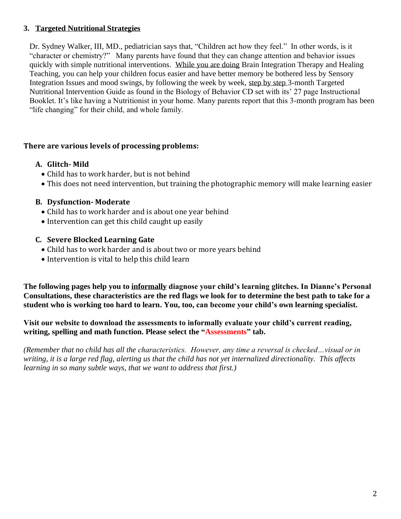## **3. Targeted Nutritional Strategies**

Dr. Sydney Walker, III, MD., pediatrician says that, "Children act how they feel." In other words, is it "character or chemistry?" Many parents have found that they can change attention and behavior issues quickly with simple nutritional interventions. While you are doing Brain Integration Therapy and Healing Teaching, you can help your children focus easier and have better memory be bothered less by Sensory Integration Issues and mood swings, by following the week by week, step by step 3-month Targeted Nutritional Intervention Guide as found in the Biology of Behavior CD set with its' 27 page Instructional Booklet. It's like having a Nutritionist in your home. Many parents report that this 3-month program has been "life changing" for their child, and whole family.

## **There are various levels of processing problems:**

## **A. Glitch- Mild**

- Child has to work harder, but is not behind
- This does not need intervention, but training the photographic memory will make learning easier

## **B. Dysfunction- Moderate**

- Child has to work harder and is about one year behind
- Intervention can get this child caught up easily

## **C. Severe Blocked Learning Gate**

- Child has to work harder and is about two or more years behind
- Intervention is vital to help this child learn

**The following pages help you to informally diagnose your child's learning glitches. In Dianne's Personal Consultations, these characteristics are the red flags we look for to determine the best path to take for a student who is working too hard to learn. You, too, can become your child's own learning specialist.** 

**Visit our website to download the assessments to informally evaluate your child's current reading, writing, spelling and math function. Please select the "Assessments" tab.**

*(Remember that no child has all the characteristics. However, any time a reversal is checked…visual or in writing, it is a large red flag, alerting us that the child has not yet internalized directionality. This affects learning in so many subtle ways, that we want to address that first.)*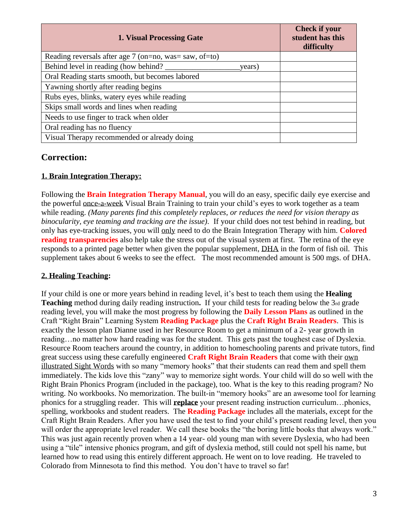| 1. Visual Processing Gate                                | <b>Check if your</b><br>student has this<br>difficulty |
|----------------------------------------------------------|--------------------------------------------------------|
| Reading reversals after age $7$ (on=no, was= saw, of=to) |                                                        |
| Behind level in reading (how behind?<br>years)           |                                                        |
| Oral Reading starts smooth, but becomes labored          |                                                        |
| Yawning shortly after reading begins                     |                                                        |
| Rubs eyes, blinks, watery eyes while reading             |                                                        |
| Skips small words and lines when reading                 |                                                        |
| Needs to use finger to track when older                  |                                                        |
| Oral reading has no fluency                              |                                                        |
| Visual Therapy recommended or already doing              |                                                        |

## **1. Brain Integration Therapy:**

Following the **Brain Integration Therapy Manual**, you will do an easy, specific daily eye exercise and the powerful once-a-week Visual Brain Training to train your child's eyes to work together as a team while reading. *(Many parents find this completely replaces, or reduces the need for vision therapy as binocularity, eye teaming and tracking are the issue).* If your child does not test behind in reading*,* but only has eye-tracking issues, you will only need to do the Brain Integration Therapy with him. **Colored reading transparencies** also help take the stress out of the visual system at first. The retina of the eye responds to a printed page better when given the popular supplement, DHA in the form of fish oil. This supplement takes about 6 weeks to see the effect. The most recommended amount is 500 mgs. of DHA.

#### **2. Healing Teaching:**

If your child is one or more years behind in reading level, it's best to teach them using the **Healing Teaching** method during daily reading instruction**.** If your child tests for reading below the 3rd grade reading level, you will make the most progress by following the **Daily Lesson Plans** as outlined in the Craft "Right Brain" Learning System **Reading Package** plus the **Craft Right Brain Readers**. This is exactly the lesson plan Dianne used in her Resource Room to get a minimum of a 2- year growth in reading…no matter how hard reading was for the student. This gets past the toughest case of Dyslexia. Resource Room teachers around the country, in addition to homeschooling parents and private tutors, find great success using these carefully engineered **Craft Right Brain Readers** that come with their own illustrated Sight Words with so many "memory hooks" that their students can read them and spell them immediately. The kids love this "zany" way to memorize sight words. Your child will do so well with the Right Brain Phonics Program (included in the package), too. What is the key to this reading program? No writing. No workbooks. No memorization. The built-in "memory hooks" are an awesome tool for learning phonics for a struggling reader. This will **replace** your present reading instruction curriculum…phonics, spelling, workbooks and student readers. The **Reading Package** includes all the materials, except for the Craft Right Brain Readers. After you have used the test to find your child's present reading level, then you will order the appropriate level reader. We call these books the "the boring little books that always work." This was just again recently proven when a 14 year- old young man with severe Dyslexia, who had been using a "tile" intensive phonics program, and gift of dyslexia method, still could not spell his name, but learned how to read using this entirely different approach. He went on to love reading. He traveled to Colorado from Minnesota to find this method. You don't have to travel so far!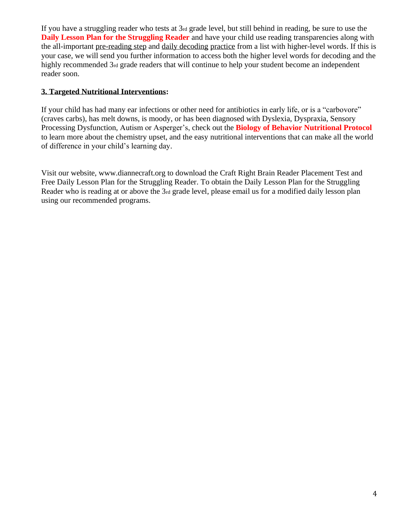If you have a struggling reader who tests at 3rd grade level, but still behind in reading, be sure to use the **Daily Lesson Plan for the Struggling Reader** and have your child use reading transparencies along with the all-important pre-reading step and daily decoding practice from a list with higher-level words. If this is your case, we will send you further information to access both the higher level words for decoding and the highly recommended 3rd grade readers that will continue to help your student become an independent reader soon.

## **3. Targeted Nutritional Interventions:**

If your child has had many ear infections or other need for antibiotics in early life, or is a "carbovore" (craves carbs), has melt downs, is moody, or has been diagnosed with Dyslexia, Dyspraxia, Sensory Processing Dysfunction, Autism or Asperger's, check out the **Biology of Behavior Nutritional Protocol** to learn more about the chemistry upset, and the easy nutritional interventions that can make all the world of difference in your child's learning day.

Visit our website, www.diannecraft.org to download the Craft Right Brain Reader Placement Test and Free Daily Lesson Plan for the Struggling Reader. To obtain the Daily Lesson Plan for the Struggling Reader who is reading at or above the 3rd grade level, please email us for a modified daily lesson plan using our recommended programs.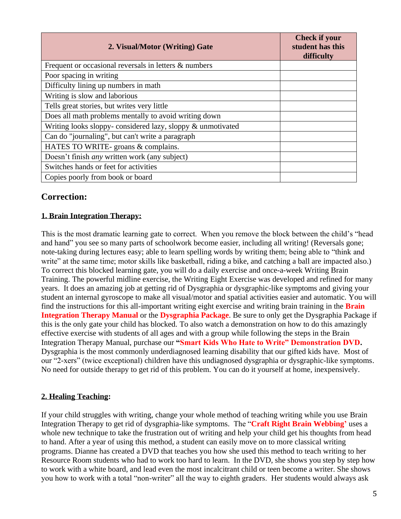| 2. Visual/Motor (Writing) Gate                             | <b>Check if your</b><br>student has this<br>difficulty |
|------------------------------------------------------------|--------------------------------------------------------|
| Frequent or occasional reversals in letters & numbers      |                                                        |
| Poor spacing in writing                                    |                                                        |
| Difficulty lining up numbers in math                       |                                                        |
| Writing is slow and laborious                              |                                                        |
| Tells great stories, but writes very little                |                                                        |
| Does all math problems mentally to avoid writing down      |                                                        |
| Writing looks sloppy-considered lazy, sloppy & unmotivated |                                                        |
| Can do "journaling", but can't write a paragraph           |                                                        |
| HATES TO WRITE- groans & complains.                        |                                                        |
| Doesn't finish <i>any</i> written work (any subject)       |                                                        |
| Switches hands or feet for activities                      |                                                        |
| Copies poorly from book or board                           |                                                        |

## **1. Brain Integration Therapy:**

This is the most dramatic learning gate to correct. When you remove the block between the child's "head and hand" you see so many parts of schoolwork become easier, including all writing! (Reversals gone; note-taking during lectures easy; able to learn spelling words by writing them; being able to "think and write" at the same time; motor skills like basketball, riding a bike, and catching a ball are impacted also.) To correct this blocked learning gate, you will do a daily exercise and once-a-week Writing Brain Training. The powerful midline exercise, the Writing Eight Exercise was developed and refined for many years. It does an amazing job at getting rid of Dysgraphia or dysgraphic-like symptoms and giving your student an internal gyroscope to make all visual/motor and spatial activities easier and automatic. You will find the instructions for this all-important writing eight exercise and writing brain training in the **Brain Integration Therapy Manual** or the **Dysgraphia Package**. Be sure to only get the Dysgraphia Package if this is the only gate your child has blocked. To also watch a demonstration on how to do this amazingly effective exercise with students of all ages and with a group while following the steps in the Brain Integration Therapy Manual, purchase our **"Smart Kids Who Hate to Write" Demonstration DVD.** Dysgraphia is the most commonly underdiagnosed learning disability that our gifted kids have. Most of our "2-xers" (twice exceptional) children have this undiagnosed dysgraphia or dysgraphic-like symptoms. No need for outside therapy to get rid of this problem. You can do it yourself at home, inexpensively.

#### **2. Healing Teaching:**

If your child struggles with writing, change your whole method of teaching writing while you use Brain Integration Therapy to get rid of dysgraphia-like symptoms. The "**Craft Right Brain Webbing'** uses a whole new technique to take the frustration out of writing and help your child get his thoughts from head to hand. After a year of using this method, a student can easily move on to more classical writing programs. Dianne has created a DVD that teaches you how she used this method to teach writing to her Resource Room students who had to work too hard to learn. In the DVD, she shows you step by step how to work with a white board, and lead even the most incalcitrant child or teen become a writer. She shows you how to work with a total "non-writer" all the way to eighth graders. Her students would always ask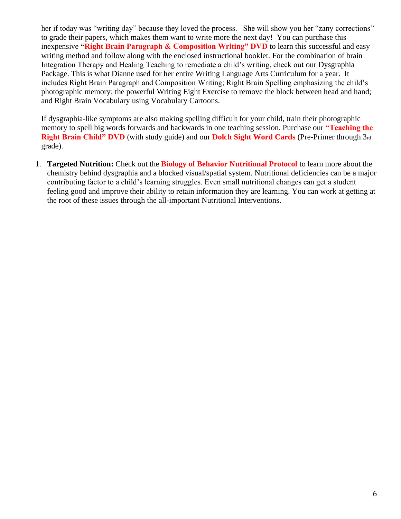her if today was "writing day" because they loved the process. She will show you her "zany corrections" to grade their papers, which makes them want to write more the next day! You can purchase this inexpensive **"Right Brain Paragraph & Composition Writing" DVD** to learn this successful and easy writing method and follow along with the enclosed instructional booklet. For the combination of brain Integration Therapy and Healing Teaching to remediate a child's writing, check out our Dysgraphia Package. This is what Dianne used for her entire Writing Language Arts Curriculum for a year. It includes Right Brain Paragraph and Composition Writing; Right Brain Spelling emphasizing the child's photographic memory; the powerful Writing Eight Exercise to remove the block between head and hand; and Right Brain Vocabulary using Vocabulary Cartoons.

If dysgraphia-like symptoms are also making spelling difficult for your child, train their photographic memory to spell big words forwards and backwards in one teaching session. Purchase our **"Teaching the Right Brain Child" DVD** (with study guide) and our **Dolch Sight Word Cards** (Pre-Primer through 3rd grade).

1. **Targeted Nutrition:** Check out the **Biology of Behavior Nutritional Protocol** to learn more about the chemistry behind dysgraphia and a blocked visual/spatial system. Nutritional deficiencies can be a major contributing factor to a child's learning struggles. Even small nutritional changes can get a student feeling good and improve their ability to retain information they are learning. You can work at getting at the root of these issues through the all-important Nutritional Interventions.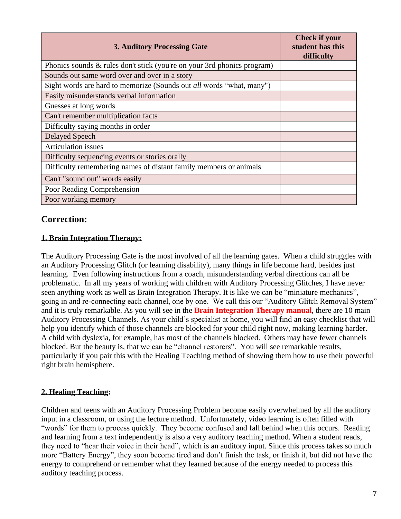| <b>3. Auditory Processing Gate</b>                                      | <b>Check if your</b><br>student has this<br>difficulty |
|-------------------------------------------------------------------------|--------------------------------------------------------|
| Phonics sounds & rules don't stick (you're on your 3rd phonics program) |                                                        |
| Sounds out same word over and over in a story                           |                                                        |
| Sight words are hard to memorize (Sounds out all words "what, many")    |                                                        |
| Easily misunderstands verbal information                                |                                                        |
| Guesses at long words                                                   |                                                        |
| Can't remember multiplication facts                                     |                                                        |
| Difficulty saying months in order                                       |                                                        |
| Delayed Speech                                                          |                                                        |
| <b>Articulation</b> issues                                              |                                                        |
| Difficulty sequencing events or stories orally                          |                                                        |
| Difficulty remembering names of distant family members or animals       |                                                        |
| Can't "sound out" words easily                                          |                                                        |
| Poor Reading Comprehension                                              |                                                        |
| Poor working memory                                                     |                                                        |

## **1. Brain Integration Therapy:**

The Auditory Processing Gate is the most involved of all the learning gates. When a child struggles with an Auditory Processing Glitch (or learning disability), many things in life become hard, besides just learning. Even following instructions from a coach, misunderstanding verbal directions can all be problematic. In all my years of working with children with Auditory Processing Glitches, I have never seen anything work as well as Brain Integration Therapy. It is like we can be "miniature mechanics", going in and re-connecting each channel, one by one. We call this our "Auditory Glitch Removal System" and it is truly remarkable. As you will see in the **Brain Integration Therapy manual**, there are 10 main Auditory Processing Channels. As your child's specialist at home, you will find an easy checklist that will help you identify which of those channels are blocked for your child right now, making learning harder. A child with dyslexia, for example, has most of the channels blocked. Others may have fewer channels blocked. But the beauty is, that we can be "channel restorers". You will see remarkable results, particularly if you pair this with the Healing Teaching method of showing them how to use their powerful right brain hemisphere.

#### **2. Healing Teaching:**

Children and teens with an Auditory Processing Problem become easily overwhelmed by all the auditory input in a classroom, or using the lecture method. Unfortunately, video learning is often filled with "words" for them to process quickly. They become confused and fall behind when this occurs. Reading and learning from a text independently is also a very auditory teaching method. When a student reads, they need to "hear their voice in their head", which is an auditory input. Since this process takes so much more "Battery Energy", they soon become tired and don't finish the task, or finish it, but did not have the energy to comprehend or remember what they learned because of the energy needed to process this auditory teaching process.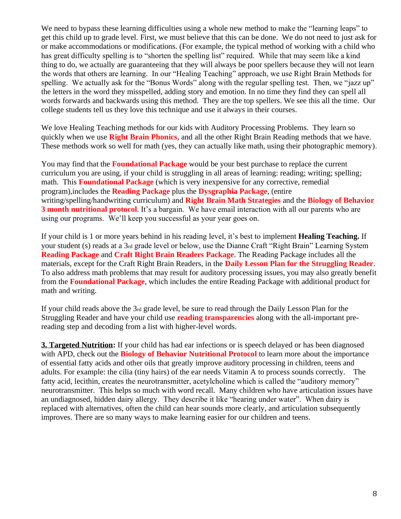We need to bypass these learning difficulties using a whole new method to make the "learning leaps" to get this child up to grade level. First, we must believe that this can be done. We do not need to just ask for or make accommodations or modifications. (For example, the typical method of working with a child who has great difficulty spelling is to "shorten the spelling list" required. While that may seem like a kind thing to do, we actually are guaranteeing that they will always be poor spellers because they will not learn the words that others are learning. In our "Healing Teaching" approach, we use Right Brain Methods for spelling. We actually ask for the "Bonus Words" along with the regular spelling test. Then, we "jazz up" the letters in the word they misspelled, adding story and emotion. In no time they find they can spell all words forwards and backwards using this method. They are the top spellers. We see this all the time. Our college students tell us they love this technique and use it always in their courses.

We love Healing Teaching methods for our kids with Auditory Processing Problems. They learn so quickly when we use **Right Brain Phonics**, and all the other Right Brain Reading methods that we have. These methods work so well for math (yes, they can actually like math, using their photographic memory).

You may find that the **Foundational Package** would be your best purchase to replace the current curriculum you are using, if your child is struggling in all areas of learning: reading; writing; spelling; math. This **Foundational Package** (which is very inexpensive for any corrective, remedial program),includes the **Reading Package** plus the **Dysgraphia Package**, (entire writing/spelling/handwriting curriculum) and **Right Brain Math Strategies** and the **Biology of Behavior 3 month nutritional protocol**. It's a bargain. We have email interaction with all our parents who are using our programs. We'll keep you successful as your year goes on.

If your child is 1 or more years behind in his reading level, it's best to implement **Healing Teaching.** If your student (s) reads at a 3rd grade level or below, use the Dianne Craft "Right Brain" Learning System **Reading Package** and **Craft Right Brain Readers Package**. The Reading Package includes all the materials, except for the Craft Right Brain Readers, in the **Daily Lesson Plan for the Struggling Reader**. To also address math problems that may result for auditory processing issues, you may also greatly benefit from the **Foundational Package**, which includes the entire Reading Package with additional product for math and writing.

If your child reads above the 3rd grade level, be sure to read through the Daily Lesson Plan for the Struggling Reader and have your child use **reading transparencies** along with the all-important prereading step and decoding from a list with higher-level words.

**3. Targeted Nutrition:** If your child has had ear infections or is speech delayed or has been diagnosed with APD, check out the **Biology of Behavior Nutritional Protocol** to learn more about the importance of essential fatty acids and other oils that greatly improve auditory processing in children, teens and adults. For example: the cilia (tiny hairs) of the ear needs Vitamin A to process sounds correctly. The fatty acid, lecithin, creates the neurotransmitter, acetylcholine which is called the "auditory memory" neurotransmitter. This helps so much with word recall. Many children who have articulation issues have an undiagnosed, hidden dairy allergy. They describe it like "hearing under water". When dairy is replaced with alternatives, often the child can hear sounds more clearly, and articulation subsequently improves. There are so many ways to make learning easier for our children and teens.